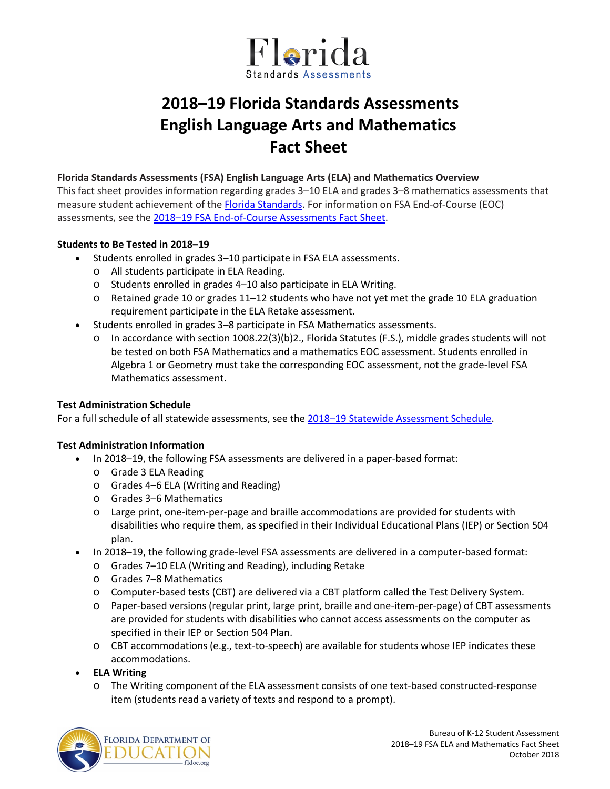

# **2018–19 Florida Standards Assessments English Language Arts and Mathematics Fact Sheet**

#### **Florida Standards Assessments (FSA) English Language Arts (ELA) and Mathematics Overview**

This fact sheet provides information regarding grades 3–10 ELA and grades 3–8 mathematics assessments that measure student achievement of th[e Florida Standards.](http://www.cpalms.org/Public/) For information on FSA End-of-Course (EOC) assessments, see the [2018–19 FSA End-of-Course Assessments Fact Sheet.](http://www.fldoe.org/core/fileparse.php/5663/urlt/FSAEOCFS1819.pdf)

## **Students to Be Tested in 2018–19**

- Students enrolled in grades 3–10 participate in FSA ELA assessments.
	- o All students participate in ELA Reading.
	- o Students enrolled in grades 4–10 also participate in ELA Writing.
	- o Retained grade 10 or grades 11–12 students who have not yet met the grade 10 ELA graduation requirement participate in the ELA Retake assessment.
- Students enrolled in grades 3–8 participate in FSA Mathematics assessments.
	- $\circ$  In accordance with section 1008.22(3)(b)2., Florida Statutes (F.S.), middle grades students will not be tested on both FSA Mathematics and a mathematics EOC assessment. Students enrolled in Algebra 1 or Geometry must take the corresponding EOC assessment, not the grade-level FSA Mathematics assessment.

#### **Test Administration Schedule**

For a full schedule of all statewide assessments, see the [2018–19 Statewide Assessment Schedule.](https://info.fldoe.org/docushare/dsweb/Get/Document-7973/dps-2017-84b.pdf)

#### **Test Administration Information**

- In 2018–19, the following FSA assessments are delivered in a paper-based format:
	- o Grade 3 ELA Reading
	- o Grades 4–6 ELA (Writing and Reading)
	- o Grades 3–6 Mathematics
	- o Large print, one-item-per-page and braille accommodations are provided for students with disabilities who require them, as specified in their Individual Educational Plans (IEP) or Section 504 plan.
- In 2018–19, the following grade-level FSA assessments are delivered in a computer-based format:
	- o Grades 7–10 ELA (Writing and Reading), including Retake
	- o Grades 7–8 Mathematics
	- o Computer-based tests (CBT) are delivered via a CBT platform called the Test Delivery System.
	- o Paper-based versions (regular print, large print, braille and one-item-per-page) of CBT assessments are provided for students with disabilities who cannot access assessments on the computer as specified in their IEP or Section 504 Plan.
	- o CBT accommodations (e.g., text-to-speech) are available for students whose IEP indicates these accommodations.
- **ELA Writing**
	- o The Writing component of the ELA assessment consists of one text-based constructed-response item (students read a variety of texts and respond to a prompt).

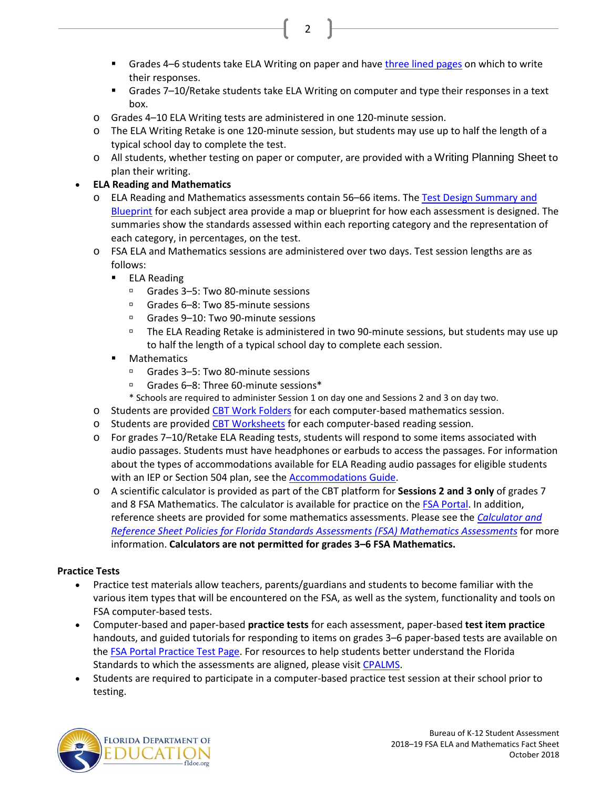Grades 4–6 students take ELA Writing on paper and hav[e three lined pages](https://fsassessments.org/core/fileparse.php/3031/urlt/FSA-Writing-Response-Pages-Template-1.pdf) on which to write their responses.

2

- Grades 7–10/Retake students take ELA Writing on computer and type their responses in a text box.
- o Grades 4–10 ELA Writing tests are administered in one 120-minute session.
- o The ELA Writing Retake is one 120-minute session, but students may use up to half the length of a typical school day to complete the test.
- o All students, whether testing on paper or computer, are provided with a [Writing Planning Sheet](https://fsassessments.org/core/fileparse.php/3031/urlt/FSA-Writing-Planning-Template_011515.pdf) to plan their writing.

## • **ELA Reading and Mathematics**

- o ELA Reading and Mathematics assessments contain 56–66 items. Th[e Test Design Summary and](https://fsassessments.org/about-the-fsas.stml)  [Blueprint](https://fsassessments.org/about-the-fsas.stml) for each subject area provide a map or blueprint for how each assessment is designed. The summaries show the standards assessed within each reporting category and the representation of each category, in percentages, on the test.
- o FSA ELA and Mathematics sessions are administered over two days. Test session lengths are as follows:
	- **ELA Reading** 
		- Grades 3–5: Two 80-minute sessions
		- □ Grades 6–8: Two 85-minute sessions
		- □ Grades 9–10: Two 90-minute sessions
		- The ELA Reading Retake is administered in two 90-minute sessions, but students may use up to half the length of a typical school day to complete each session.
	- **Mathematics** 
		- □ Grades 3–5: Two 80-minute sessions
		- Grades 6–8: Three 60-minute sessions\*
		- \* Schools are required to administer Session 1 on day one and Sessions 2 and 3 on day two.
- o Students are provided [CBT Work Folders](https://fsassessments.org/core/fileparse.php/3031/urlt/FSA_SP18_CBT-Work-Folder_BL1_FDOE.pdf) for each computer-based mathematics session.
- o Students are provided [CBT Worksheets](https://fsassessments.org/core/fileparse.php/3031/urlt/Fall-Winter-17_FSA_CBT_Worksheet.pdf) for each computer-based reading session.
- o For grades 7–10/Retake ELA Reading tests, students will respond to some items associated with audio passages. Students must have headphones or earbuds to access the passages. For information about the types of accommodations available for ELA Reading audio passages for eligible students with an IEP or Section 504 plan, see the [Accommodations Guide.](https://fsassessments.org/core/fileparse.php/3031/urlt/2018-2019_FL_FSA_Accomm_Guide_Final_081418.pdf)
- o A scientific calculator is provided as part of the CBT platform for **Sessions 2 and 3 only** of grades 7 and 8 FSA Mathematics. The calculator is available for practice on the [FSA Portal.](http://www.fsassessments.org/) In addition, reference sheets are provided for some mathematics assessments. Please see the *[Calculator and](http://www.fldoe.org/core/fileparse.php/5663/urlt/FSACalcRefSheetPolicy.pdf)  [Reference Sheet Policies for Florida Standards Assessments \(FSA\) Mathematics Assessments](http://www.fldoe.org/core/fileparse.php/5663/urlt/FSACalcRefSheetPolicy.pdf)* for more information. **Calculators are not permitted for grades 3–6 FSA Mathematics.**

## **Practice Tests**

- Practice test materials allow teachers, parents/guardians and students to become familiar with the various item types that will be encountered on the FSA, as well as the system, functionality and tools on FSA computer-based tests.
- Computer-based and paper-based **practice tests** for each assessment, paper-based **test item practice** handouts, and guided tutorials for responding to items on grades 3–6 paper-based tests are available on the **FSA Portal Practice Test Page**. For resources to help students better understand the Florida Standards to which the assessments are aligned, please visi[t CPALMS.](http://www.cpalms.org/Public/)
- Students are required to participate in a computer-based practice test session at their school prior to testing.

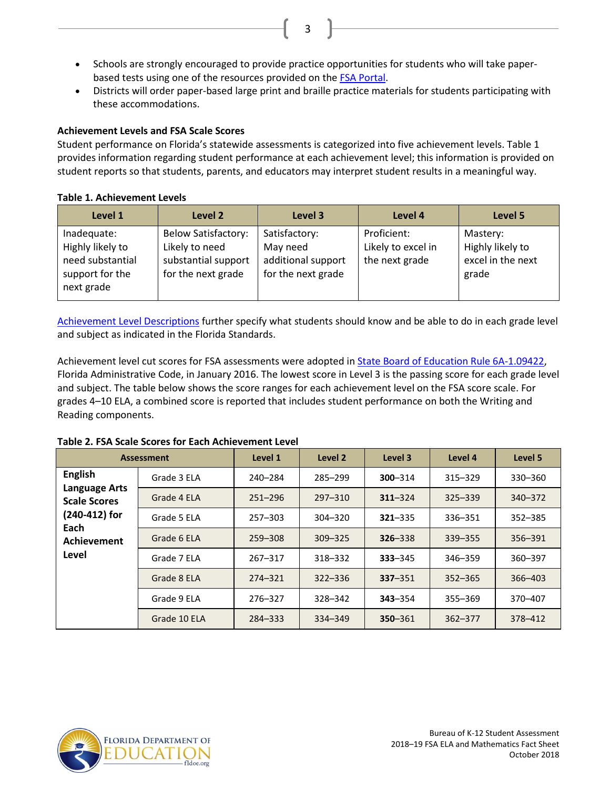• Schools are strongly encouraged to provide practice opportunities for students who will take paperbased tests using one of the resources provided on the [FSA Portal.](https://fsassessments.org/)

3

• Districts will order paper-based large print and braille practice materials for students participating with these accommodations.

## **Achievement Levels and FSA Scale Scores**

Student performance on Florida's statewide assessments is categorized into five achievement levels. Table 1 provides information regarding student performance at each achievement level; this information is provided on student reports so that students, parents, and educators may interpret student results in a meaningful way.

## **Table 1. Achievement Levels**

| Level 1                                                                              | Level 2                                                                                   | Level 3                                                               | Level 4                                             | Level 5                                                    |
|--------------------------------------------------------------------------------------|-------------------------------------------------------------------------------------------|-----------------------------------------------------------------------|-----------------------------------------------------|------------------------------------------------------------|
| Inadequate:<br>Highly likely to<br>need substantial<br>support for the<br>next grade | <b>Below Satisfactory:</b><br>Likely to need<br>substantial support<br>for the next grade | Satisfactory:<br>May need<br>additional support<br>for the next grade | Proficient:<br>Likely to excel in<br>the next grade | Mastery:<br>Highly likely to<br>excel in the next<br>grade |

[Achievement Level Descriptions](http://www.fldoe.org/core/fileparse.php/5663/urlt/2015FSARangeSummary.pdf) further specify what students should know and be able to do in each grade level and subject as indicated in the Florida Standards.

Achievement level cut scores for FSA assessments were adopted in [State Board of Education Rule 6A-1.09422,](https://www.flrules.org/gateway/ruleNo.asp?id=6A-1.094222) Florida Administrative Code, in January 2016. The lowest score in Level 3 is the passing score for each grade level and subject. The table below shows the score ranges for each achievement level on the FSA score scale. For grades 4–10 ELA, a combined score is reported that includes student performance on both the Writing and Reading components.

| <b>Assessment</b>                                                                                              |              | Level 1     | Level 2     | Level 3     | Level 4     | Level 5     |
|----------------------------------------------------------------------------------------------------------------|--------------|-------------|-------------|-------------|-------------|-------------|
| <b>English</b><br><b>Language Arts</b><br><b>Scale Scores</b><br>(240-412) for<br>Each<br>Achievement<br>Level | Grade 3 ELA  | 240-284     | 285-299     | 300-314     | $315 - 329$ | 330-360     |
|                                                                                                                | Grade 4 ELA  | $251 - 296$ | $297 - 310$ | $311 - 324$ | $325 - 339$ | $340 - 372$ |
|                                                                                                                | Grade 5 ELA  | $257 - 303$ | $304 - 320$ | $321 - 335$ | 336-351     | $352 - 385$ |
|                                                                                                                | Grade 6 ELA  | 259-308     | $309 - 325$ | $326 - 338$ | $339 - 355$ | 356-391     |
|                                                                                                                | Grade 7 ELA  | $267 - 317$ | 318-332     | $333 - 345$ | 346-359     | 360-397     |
|                                                                                                                | Grade 8 ELA  | $274 - 321$ | $322 - 336$ | $337 - 351$ | $352 - 365$ | 366-403     |
|                                                                                                                | Grade 9 ELA  | 276-327     | 328-342     | $343 - 354$ | 355-369     | 370-407     |
|                                                                                                                | Grade 10 ELA | 284-333     | 334-349     | $350 - 361$ | $362 - 377$ | 378-412     |

#### **Table 2. FSA Scale Scores for Each Achievement Level**